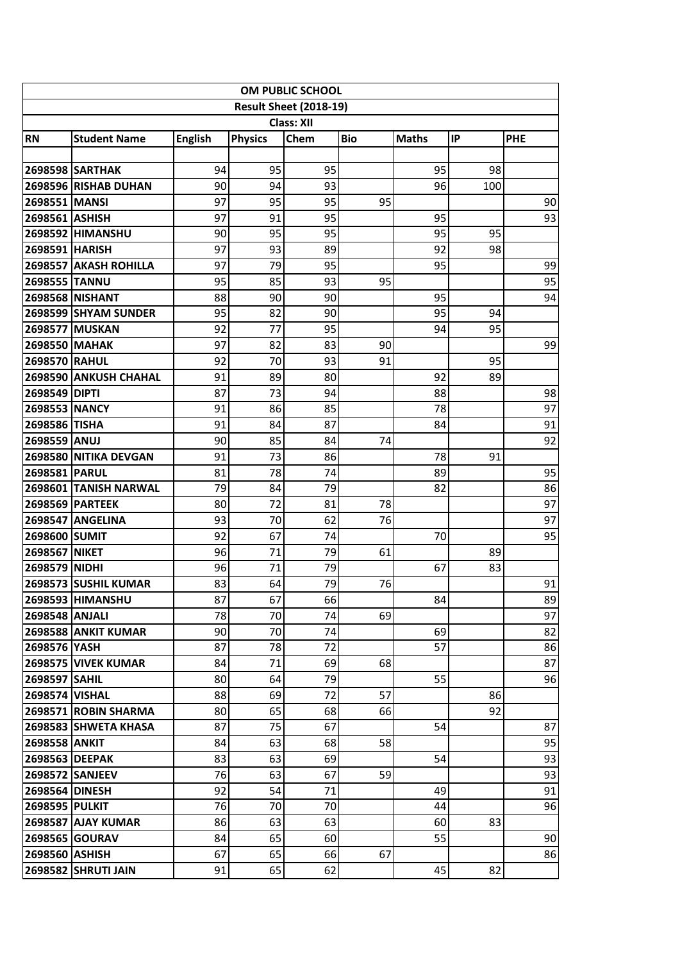| OM PUBLIC SCHOOL              |                            |                |                |      |            |              |     |            |  |  |  |  |
|-------------------------------|----------------------------|----------------|----------------|------|------------|--------------|-----|------------|--|--|--|--|
| <b>Result Sheet (2018-19)</b> |                            |                |                |      |            |              |     |            |  |  |  |  |
| <b>Class: XII</b>             |                            |                |                |      |            |              |     |            |  |  |  |  |
| <b>RN</b>                     | <b>Student Name</b>        | <b>English</b> | <b>Physics</b> | Chem | <b>Bio</b> | <b>Maths</b> | IP  | <b>PHE</b> |  |  |  |  |
|                               |                            |                |                |      |            |              |     |            |  |  |  |  |
|                               | <b>2698598 SARTHAK</b>     | 94             | 95             | 95   |            | 95           | 98  |            |  |  |  |  |
|                               | 2698596 RISHAB DUHAN       | 90             | 94             | 93   |            | 96           | 100 |            |  |  |  |  |
| 2698551 MANSI                 |                            | 97             | 95             | 95   | 95         |              |     | 90         |  |  |  |  |
| 2698561 ASHISH                |                            | 97             | 91             | 95   |            | 95           |     | 93         |  |  |  |  |
|                               | 2698592 HIMANSHU           | 90             | 95             | 95   |            | 95           | 95  |            |  |  |  |  |
| 2698591 HARISH                |                            | 97             | 93             | 89   |            | 92           | 98  |            |  |  |  |  |
|                               | 2698557 AKASH ROHILLA      | 97             | 79             | 95   |            | 95           |     | 99         |  |  |  |  |
| 2698555 TANNU                 |                            | 95             | 85             | 93   | 95         |              |     | 95         |  |  |  |  |
|                               | <b>2698568 NISHANT</b>     | 88             | 90             | 90   |            | 95           |     | 94         |  |  |  |  |
|                               | 2698599 SHYAM SUNDER       | 95             | 82             | 90   |            | 95           | 94  |            |  |  |  |  |
|                               | 2698577 MUSKAN             | 92             | 77             | 95   |            | 94           | 95  |            |  |  |  |  |
| 2698550 MAHAK                 |                            | 97             | 82             | 83   | 90         |              |     | 99         |  |  |  |  |
| 2698570 RAHUL                 |                            | 92             | 70             | 93   | 91         |              | 95  |            |  |  |  |  |
|                               | 2698590 ANKUSH CHAHAL      | 91             | 89             | 80   |            | 92           | 89  |            |  |  |  |  |
| 2698549 DIPTI                 |                            | 87             | 73             | 94   |            | 88           |     | 98         |  |  |  |  |
| <b>2698553 NANCY</b>          |                            | 91             | 86             | 85   |            | 78           |     | 97         |  |  |  |  |
| 2698586 TISHA                 |                            | 91             | 84             | 87   |            | 84           |     | 91         |  |  |  |  |
| 2698559 ANUJ                  |                            | 90             | 85             | 84   | 74         |              |     | 92         |  |  |  |  |
|                               | 2698580 NITIKA DEVGAN      | 91             | 73             | 86   |            | 78           | 91  |            |  |  |  |  |
| 2698581 PARUL                 |                            | 81             | 78             | 74   |            | 89           |     | 95         |  |  |  |  |
|                               | 2698601 TANISH NARWAL      | 79             | 84             | 79   |            | 82           |     | 86         |  |  |  |  |
|                               | <b>2698569 PARTEEK</b>     | 80             | 72             | 81   | 78         |              |     | 97         |  |  |  |  |
|                               | <b>2698547 ANGELINA</b>    | 93             | 70             | 62   | 76         |              |     | 97         |  |  |  |  |
| 2698600 SUMIT                 |                            | 92             | 67             | 74   |            | 70           |     | 95         |  |  |  |  |
| 2698567 NIKET                 |                            | 96             | 71             | 79   | 61         |              | 89  |            |  |  |  |  |
| 2698579 NIDHI                 |                            | 96             | 71             | 79   |            | 67           | 83  |            |  |  |  |  |
|                               | 2698573 SUSHIL KUMAR       | 83             | 64             | 79   | 76         |              |     | 91         |  |  |  |  |
|                               | 2698593 HIMANSHU           | 87             | 67             | 66   |            | 84           |     | 89         |  |  |  |  |
| 2698548 ANJALI                |                            | 78             | 70             | 74   | 69         |              |     | 97         |  |  |  |  |
|                               | <b>2698588 ANKIT KUMAR</b> | 90             | 70             | 74   |            | 69           |     | 82         |  |  |  |  |
| 2698576 YASH                  |                            | 87             | 78             | 72   |            | 57           |     | 86         |  |  |  |  |
|                               | <b>2698575 VIVEK KUMAR</b> | 84             | 71             | 69   | 68         |              |     | 87         |  |  |  |  |
| 2698597 SAHIL                 |                            | 80             | 64             | 79   |            | 55           |     | 96         |  |  |  |  |
| 2698574 VISHAL                |                            | 88             | 69             | 72   | 57         |              | 86  |            |  |  |  |  |
|                               | 2698571 ROBIN SHARMA       | 80             | 65             | 68   | 66         |              | 92  |            |  |  |  |  |
|                               | 2698583 SHWETA KHASA       | 87             | 75             | 67   |            | 54           |     | 87         |  |  |  |  |
| <b>2698558 ANKIT</b>          |                            | 84             | 63             | 68   | 58         |              |     | 95         |  |  |  |  |
| 2698563 DEEPAK                |                            | 83             | 63             | 69   |            | 54           |     | 93         |  |  |  |  |
|                               | <b>2698572 SANJEEV</b>     | 76             | 63             | 67   | 59         |              |     | 93         |  |  |  |  |
| 2698564 DINESH                |                            | 92             | 54             | 71   |            | 49           |     | 91         |  |  |  |  |
| <b>2698595 PULKIT</b>         |                            | 76             | 70             | 70   |            | 44           |     | 96         |  |  |  |  |
|                               | <b>2698587 AJAY KUMAR</b>  | 86             | 63             | 63   |            | 60           | 83  |            |  |  |  |  |
|                               | <b>2698565 GOURAV</b>      | 84             | 65             | 60   |            | 55           |     | 90         |  |  |  |  |
| 2698560 ASHISH                |                            | 67             | 65             | 66   | 67         |              |     | 86         |  |  |  |  |
|                               | <b>2698582 SHRUTI JAIN</b> | 91             | 65             | 62   |            | 45           | 82  |            |  |  |  |  |
|                               |                            |                |                |      |            |              |     |            |  |  |  |  |